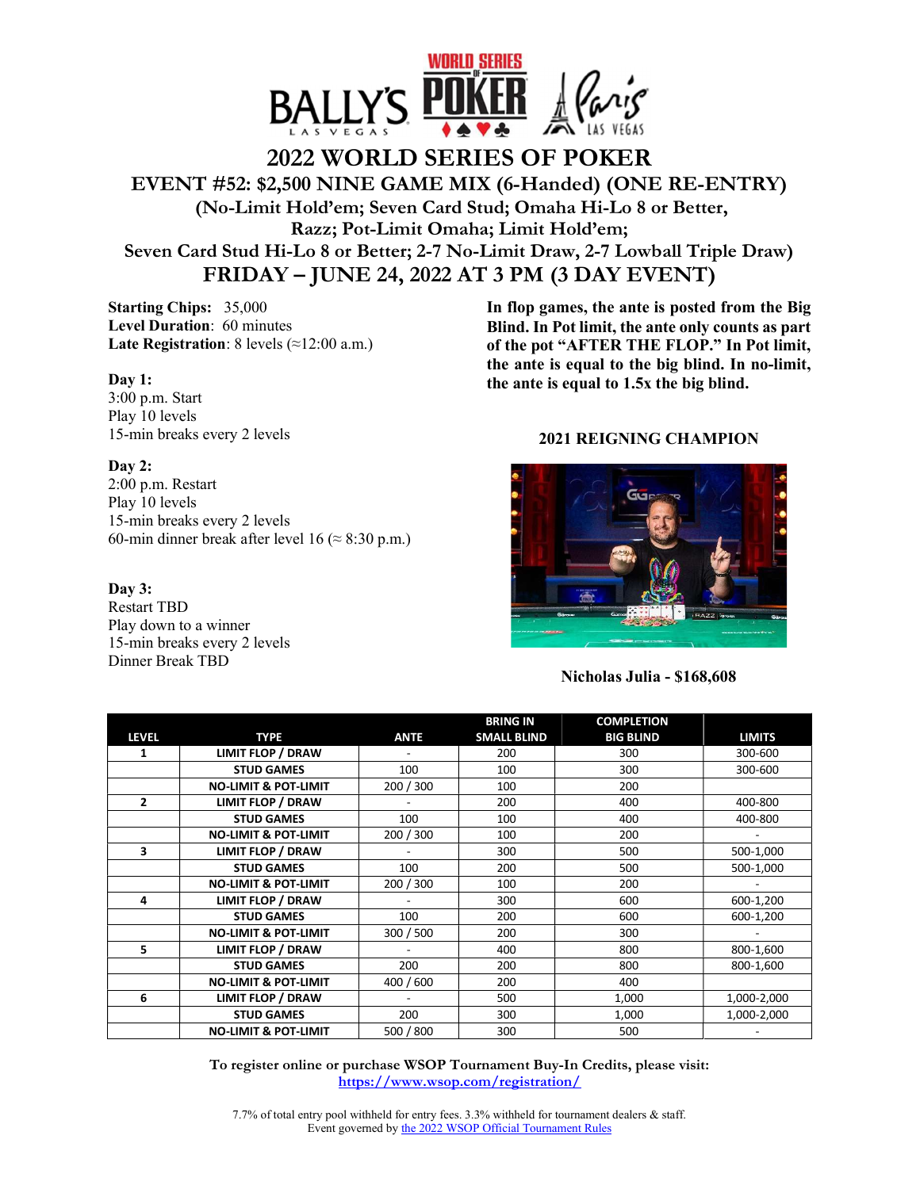

## **2022 WORLD SERIES OF POKER EVENT #52: \$2,500 NINE GAME MIX (6-Handed) (ONE RE-ENTRY) (No-Limit Hold'em; Seven Card Stud; Omaha Hi-Lo 8 or Better, Razz; Pot-Limit Omaha; Limit Hold'em; Seven Card Stud Hi-Lo 8 or Better; 2-7 No-Limit Draw, 2-7 Lowball Triple Draw) FRIDAY – JUNE 24, 2022 AT 3 PM (3 DAY EVENT)**

**Starting Chips:** 35,000 **Level Duration**: 60 minutes **Late Registration**: 8 levels (≈12:00 a.m.)

**Day 1:**  3:00 p.m. Start Play 10 levels 15-min breaks every 2 levels

**Day 2:**  2:00 p.m. Restart Play 10 levels 15-min breaks every 2 levels 60-min dinner break after level 16 ( $\approx$  8:30 p.m.)

**Day 3:**  Restart TBD Play down to a winner 15-min breaks every 2 levels Dinner Break TBD

**In flop games, the ante is posted from the Big Blind. In Pot limit, the ante only counts as part of the pot "AFTER THE FLOP." In Pot limit, the ante is equal to the big blind. In no-limit, the ante is equal to 1.5x the big blind.** 

## **2021 REIGNING CHAMPION**



**Nicholas Julia - \$168,608** 

|                |                                 |             | <b>BRING IN</b>    | <b>COMPLETION</b> |               |
|----------------|---------------------------------|-------------|--------------------|-------------------|---------------|
| <b>LEVEL</b>   | <b>TYPE</b>                     | <b>ANTE</b> | <b>SMALL BLIND</b> | <b>BIG BLIND</b>  | <b>LIMITS</b> |
| 1              | <b>LIMIT FLOP / DRAW</b>        |             | 200                | 300               | 300-600       |
|                | <b>STUD GAMES</b>               | 100         | 100                | 300               | 300-600       |
|                | <b>NO-LIMIT &amp; POT-LIMIT</b> | 200 / 300   | 100                | 200               |               |
| $\overline{2}$ | <b>LIMIT FLOP / DRAW</b>        |             | 200                | 400               | 400-800       |
|                | <b>STUD GAMES</b>               | 100         | 100                | 400               | 400-800       |
|                | <b>NO-LIMIT &amp; POT-LIMIT</b> | 200 / 300   | 100                | 200               |               |
| 3              | <b>LIMIT FLOP / DRAW</b>        |             | 300                | 500               | 500-1,000     |
|                | <b>STUD GAMES</b>               | 100         | 200                | 500               | 500-1,000     |
|                | <b>NO-LIMIT &amp; POT-LIMIT</b> | 200 / 300   | 100                | 200               |               |
| 4              | <b>LIMIT FLOP / DRAW</b>        |             | 300                | 600               | 600-1,200     |
|                | <b>STUD GAMES</b>               | 100         | 200                | 600               | 600-1,200     |
|                | <b>NO-LIMIT &amp; POT-LIMIT</b> | 300 / 500   | 200                | 300               |               |
| 5              | LIMIT FLOP / DRAW               |             | 400                | 800               | 800-1,600     |
|                | <b>STUD GAMES</b>               | 200         | 200                | 800               | 800-1,600     |
|                | <b>NO-LIMIT &amp; POT-LIMIT</b> | 400 / 600   | 200                | 400               |               |
| 6              | <b>LIMIT FLOP / DRAW</b>        |             | 500                | 1,000             | 1,000-2,000   |
|                | <b>STUD GAMES</b>               | 200         | 300                | 1,000             | 1,000-2,000   |
|                | <b>NO-LIMIT &amp; POT-LIMIT</b> | 500 / 800   | 300                | 500               |               |

**To register online or purchase WSOP Tournament Buy-In Credits, please visit: https://www.wsop.com/registration/**

7.7% of total entry pool withheld for entry fees. 3.3% withheld for tournament dealers & staff. Event governed by the 2022 WSOP Official Tournament Rules